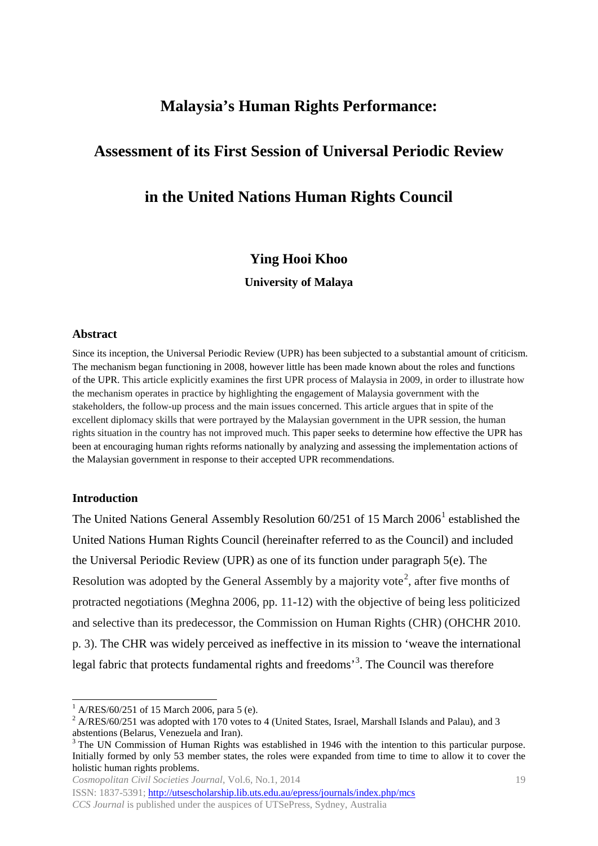## **Malaysia's Human Rights Performance:**

## **Assessment of its First Session of Universal Periodic Review**

# **in the United Nations Human Rights Council**

## **Ying Hooi Khoo**

**University of Malaya**

### **Abstract**

Since its inception, the Universal Periodic Review (UPR) has been subjected to a substantial amount of criticism. The mechanism began functioning in 2008, however little has been made known about the roles and functions of the UPR. This article explicitly examines the first UPR process of Malaysia in 2009, in order to illustrate how the mechanism operates in practice by highlighting the engagement of Malaysia government with the stakeholders, the follow-up process and the main issues concerned. This article argues that in spite of the excellent diplomacy skills that were portrayed by the Malaysian government in the UPR session, the human rights situation in the country has not improved much. This paper seeks to determine how effective the UPR has been at encouraging human rights reforms nationally by analyzing and assessing the implementation actions of the Malaysian government in response to their accepted UPR recommendations.

### **Introduction**

The United Nations General Assembly Resolution  $60/251$  $60/251$  of 15 March  $2006<sup>1</sup>$  established the United Nations Human Rights Council (hereinafter referred to as the Council) and included the Universal Periodic Review (UPR) as one of its function under paragraph 5(e). The Resolution was adopted by the General Assembly by a majority vote<sup>[2](#page-0-1)</sup>, after five months of protracted negotiations (Meghna 2006, pp. 11-12) with the objective of being less politicized and selective than its predecessor, the Commission on Human Rights (CHR) (OHCHR 2010. p. 3). The CHR was widely perceived as ineffective in its mission to 'weave the international legal fabric that protects fundamental rights and freedoms<sup>[3](#page-0-2)</sup>. The Council was therefore

<span id="page-0-1"></span><span id="page-0-0"></span><sup>&</sup>lt;sup>1</sup> A/RES/60/251 of 15 March 2006, para 5 (e).<br><sup>2</sup> A/RES/60/251 was adopted with 170 votes to 4 (United States, Israel, Marshall Islands and Palau), and 3 abstentions (Belarus, Venezuela and Iran).

<span id="page-0-3"></span><span id="page-0-2"></span><sup>&</sup>lt;sup>3</sup> The UN Commission of Human Rights was established in 1946 with the intention to this particular purpose. Initially formed by only 53 member states, the roles were expanded from time to time to allow it to cover the holistic human rights problems.

*Cosmopolitan Civil Societies Journal*, Vol.6, No.1, 2014 19 ISSN: 1837-5391; <http://utsescholarship.lib.uts.edu.au/epress/journals/index.php/mcs>

*CCS Journal* is published under the auspices of UTSePress, Sydney, Australia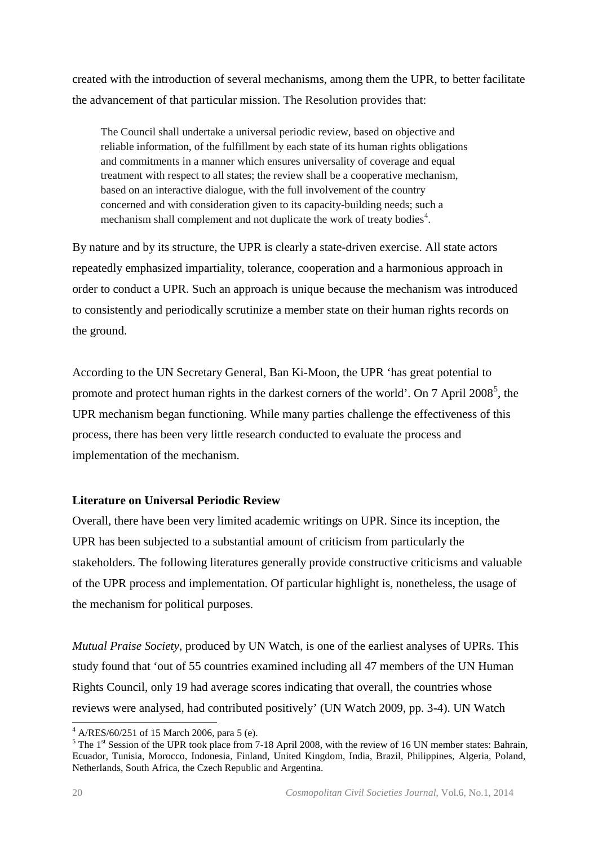created with the introduction of several mechanisms, among them the UPR, to better facilitate the advancement of that particular mission. The Resolution provides that:

The Council shall undertake a universal periodic review, based on objective and reliable information, of the fulfillment by each state of its human rights obligations and commitments in a manner which ensures universality of coverage and equal treatment with respect to all states; the review shall be a cooperative mechanism, based on an interactive dialogue, with the full involvement of the country concerned and with consideration given to its capacity-building needs; such a mechanism shall complement and not duplicate the work of treaty bodies<sup>[4](#page-0-3)</sup>.

By nature and by its structure, the UPR is clearly a state-driven exercise. All state actors repeatedly emphasized impartiality, tolerance, cooperation and a harmonious approach in order to conduct a UPR. Such an approach is unique because the mechanism was introduced to consistently and periodically scrutinize a member state on their human rights records on the ground.

According to the UN Secretary General, Ban Ki-Moon, the UPR 'has great potential to promote and protect human rights in the darkest corners of the world'. On 7 April 2008<sup>[5](#page-1-0)</sup>, the UPR mechanism began functioning. While many parties challenge the effectiveness of this process, there has been very little research conducted to evaluate the process and implementation of the mechanism.

## **Literature on Universal Periodic Review**

Overall, there have been very limited academic writings on UPR. Since its inception, the UPR has been subjected to a substantial amount of criticism from particularly the stakeholders. The following literatures generally provide constructive criticisms and valuable of the UPR process and implementation. Of particular highlight is, nonetheless, the usage of the mechanism for political purposes.

*Mutual Praise Society*, produced by UN Watch, is one of the earliest analyses of UPRs. This study found that 'out of 55 countries examined including all 47 members of the UN Human Rights Council, only 19 had average scores indicating that overall, the countries whose reviews were analysed, had contributed positively' (UN Watch 2009, pp. 3-4). UN Watch

 <sup>4</sup> A/RES/60/251 of 15 March 2006, para 5 (e).

<span id="page-1-1"></span><span id="page-1-0"></span> $5$  The 1<sup>st</sup> Session of the UPR took place from 7-18 April 2008, with the review of 16 UN member states: Bahrain, Ecuador, Tunisia, Morocco, Indonesia, Finland, United Kingdom, India, Brazil, Philippines, Algeria, Poland, Netherlands, South Africa, the Czech Republic and Argentina.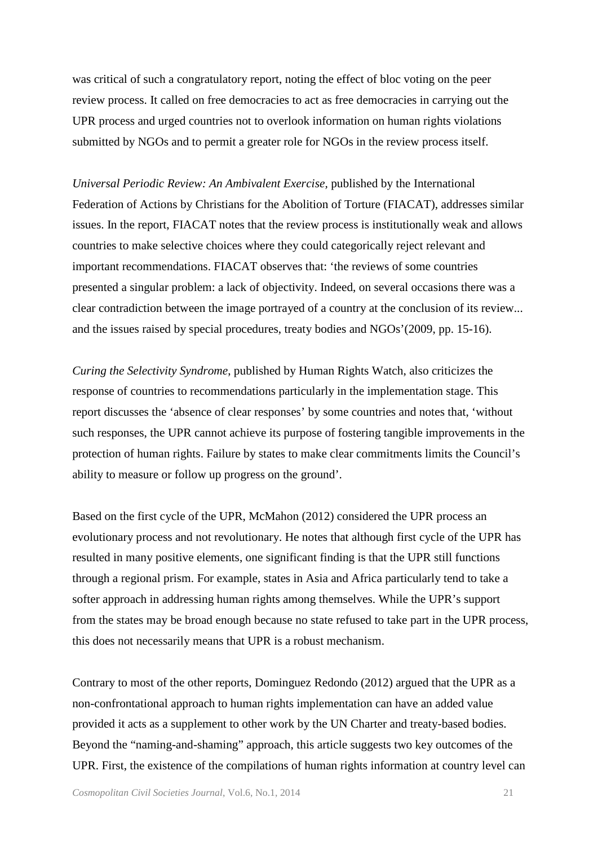was critical of such a congratulatory report, noting the effect of bloc voting on the peer review process. It called on free democracies to act as free democracies in carrying out the UPR process and urged countries not to overlook information on human rights violations submitted by NGOs and to permit a greater role for NGOs in the review process itself.

*Universal Periodic Review: An Ambivalent Exercise,* published by the International Federation of Actions by Christians for the Abolition of Torture (FIACAT), addresses similar issues. In the report, FIACAT notes that the review process is institutionally weak and allows countries to make selective choices where they could categorically reject relevant and important recommendations. FIACAT observes that: 'the reviews of some countries presented a singular problem: a lack of objectivity. Indeed, on several occasions there was a clear contradiction between the image portrayed of a country at the conclusion of its review... and the issues raised by special procedures, treaty bodies and NGOs'(2009, pp. 15-16).

*Curing the Selectivity Syndrome*, published by Human Rights Watch, also criticizes the response of countries to recommendations particularly in the implementation stage. This report discusses the 'absence of clear responses' by some countries and notes that, 'without such responses, the UPR cannot achieve its purpose of fostering tangible improvements in the protection of human rights. Failure by states to make clear commitments limits the Council's ability to measure or follow up progress on the ground'.

Based on the first cycle of the UPR, McMahon (2012) considered the UPR process an evolutionary process and not revolutionary. He notes that although first cycle of the UPR has resulted in many positive elements, one significant finding is that the UPR still functions through a regional prism. For example, states in Asia and Africa particularly tend to take a softer approach in addressing human rights among themselves. While the UPR's support from the states may be broad enough because no state refused to take part in the UPR process, this does not necessarily means that UPR is a robust mechanism.

Contrary to most of the other reports, Dominguez Redondo (2012) argued that the UPR as a non-confrontational approach to human rights implementation can have an added value provided it acts as a supplement to other work by the UN Charter and treaty-based bodies. Beyond the "naming-and-shaming" approach, this article suggests two key outcomes of the UPR. First, the existence of the compilations of human rights information at country level can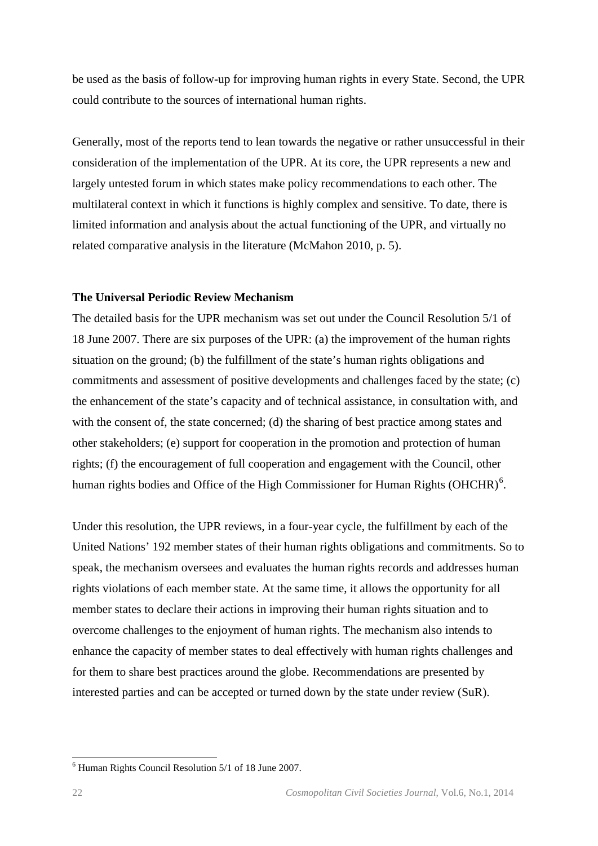be used as the basis of follow-up for improving human rights in every State. Second, the UPR could contribute to the sources of international human rights.

Generally, most of the reports tend to lean towards the negative or rather unsuccessful in their consideration of the implementation of the UPR. At its core, the UPR represents a new and largely untested forum in which states make policy recommendations to each other. The multilateral context in which it functions is highly complex and sensitive. To date, there is limited information and analysis about the actual functioning of the UPR, and virtually no related comparative analysis in the literature (McMahon 2010, p. 5).

## **The Universal Periodic Review Mechanism**

The detailed basis for the UPR mechanism was set out under the Council Resolution 5/1 of 18 June 2007. There are six purposes of the UPR: (a) the improvement of the human rights situation on the ground; (b) the fulfillment of the state's human rights obligations and commitments and assessment of positive developments and challenges faced by the state; (c) the enhancement of the state's capacity and of technical assistance, in consultation with, and with the consent of, the state concerned; (d) the sharing of best practice among states and other stakeholders; (e) support for cooperation in the promotion and protection of human rights; (f) the encouragement of full cooperation and engagement with the Council, other human rights bodies and Office of the High Commissioner for Human Rights (OHCHR)<sup>[6](#page-1-1)</sup>.

Under this resolution, the UPR reviews, in a four-year cycle, the fulfillment by each of the United Nations' 192 member states of their human rights obligations and commitments. So to speak, the mechanism oversees and evaluates the human rights records and addresses human rights violations of each member state. At the same time, it allows the opportunity for all member states to declare their actions in improving their human rights situation and to overcome challenges to the enjoyment of human rights. The mechanism also intends to enhance the capacity of member states to deal effectively with human rights challenges and for them to share best practices around the globe. Recommendations are presented by interested parties and can be accepted or turned down by the state under review (SuR).

<span id="page-3-0"></span> <sup>6</sup> Human Rights Council Resolution 5/1 of 18 June 2007.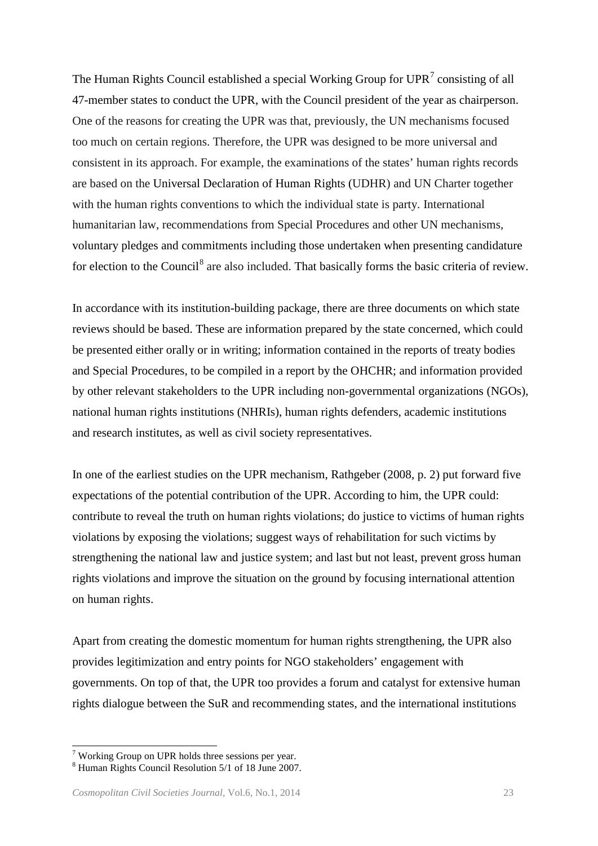The Human Rights Council established a special Working Group for  $UPR<sup>7</sup>$  $UPR<sup>7</sup>$  $UPR<sup>7</sup>$  consisting of all 47-member states to conduct the UPR, with the Council president of the year as chairperson. One of the reasons for creating the UPR was that, previously, the UN mechanisms focused too much on certain regions. Therefore, the UPR was designed to be more universal and consistent in its approach. For example, the examinations of the states' human rights records are based on the Universal Declaration of Human Rights (UDHR) and UN Charter together with the human rights conventions to which the individual state is party. International humanitarian law, recommendations from Special Procedures and other UN mechanisms, voluntary pledges and commitments including those undertaken when presenting candidature for election to the Council<sup>[8](#page-4-0)</sup> are also included. That basically forms the basic criteria of review.

In accordance with its institution-building package, there are three documents on which state reviews should be based. These are information prepared by the state concerned, which could be presented either orally or in writing; information contained in the reports of treaty bodies and Special Procedures, to be compiled in a report by the OHCHR; and information provided by other relevant stakeholders to the UPR including non-governmental organizations (NGOs), national human rights institutions (NHRIs), human rights defenders, academic institutions and research institutes, as well as civil society representatives.

In one of the earliest studies on the UPR mechanism, Rathgeber (2008, p. 2) put forward five expectations of the potential contribution of the UPR. According to him, the UPR could: contribute to reveal the truth on human rights violations; do justice to victims of human rights violations by exposing the violations; suggest ways of rehabilitation for such victims by strengthening the national law and justice system; and last but not least, prevent gross human rights violations and improve the situation on the ground by focusing international attention on human rights.

Apart from creating the domestic momentum for human rights strengthening, the UPR also provides legitimization and entry points for NGO stakeholders' engagement with governments. On top of that, the UPR too provides a forum and catalyst for extensive human rights dialogue between the SuR and recommending states, and the international institutions

<span id="page-4-1"></span> <sup>7</sup> Working Group on UPR holds three sessions per year.

<span id="page-4-0"></span><sup>8</sup> Human Rights Council Resolution 5/1 of 18 June 2007.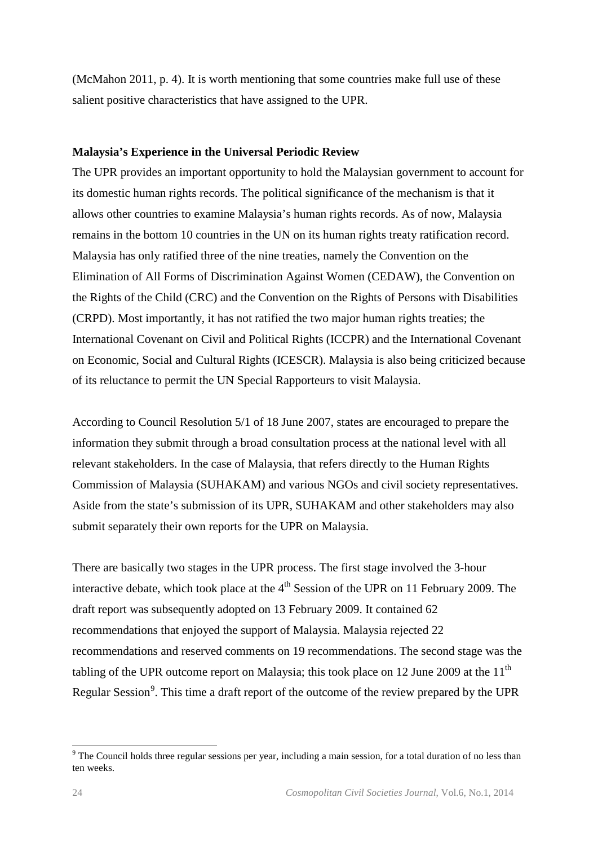(McMahon 2011, p. 4). It is worth mentioning that some countries make full use of these salient positive characteristics that have assigned to the UPR.

#### **Malaysia's Experience in the Universal Periodic Review**

The UPR provides an important opportunity to hold the Malaysian government to account for its domestic human rights records. The political significance of the mechanism is that it allows other countries to examine Malaysia's human rights records. As of now, Malaysia remains in the bottom 10 countries in the UN on its human rights treaty ratification record. Malaysia has only ratified three of the nine treaties, namely the Convention on the Elimination of All Forms of Discrimination Against Women (CEDAW), the Convention on the Rights of the Child (CRC) and the Convention on the Rights of Persons with Disabilities (CRPD). Most importantly, it has not ratified the two major human rights treaties; the International Covenant on Civil and Political Rights (ICCPR) and the International Covenant on Economic, Social and Cultural Rights (ICESCR). Malaysia is also being criticized because of its reluctance to permit the UN Special Rapporteurs to visit Malaysia.

According to Council Resolution 5/1 of 18 June 2007, states are encouraged to prepare the information they submit through a broad consultation process at the national level with all relevant stakeholders. In the case of Malaysia, that refers directly to the Human Rights Commission of Malaysia (SUHAKAM) and various NGOs and civil society representatives. Aside from the state's submission of its UPR, SUHAKAM and other stakeholders may also submit separately their own reports for the UPR on Malaysia.

There are basically two stages in the UPR process. The first stage involved the 3-hour interactive debate, which took place at the  $4<sup>th</sup>$  Session of the UPR on 11 February 2009. The draft report was subsequently adopted on 13 February 2009. It contained 62 recommendations that enjoyed the support of Malaysia. Malaysia rejected 22 recommendations and reserved comments on 19 recommendations. The second stage was the tabling of the UPR outcome report on Malaysia; this took place on 12 June 2009 at the  $11<sup>th</sup>$ Regular Session<sup>[9](#page-4-1)</sup>. This time a draft report of the outcome of the review prepared by the UPR

<span id="page-5-0"></span><sup>&</sup>lt;sup>9</sup> The Council holds three regular sessions per year, including a main session, for a total duration of no less than ten weeks.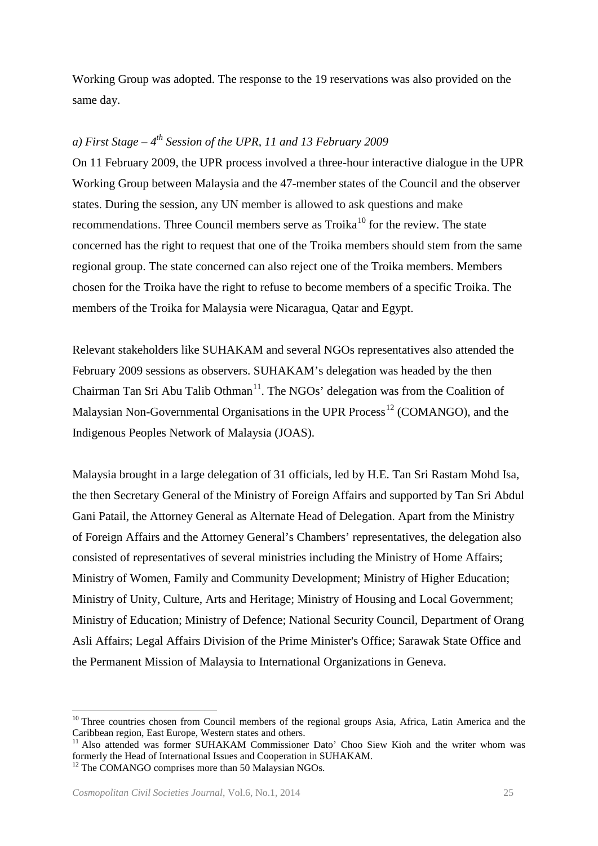Working Group was adopted. The response to the 19 reservations was also provided on the same day.

## *a) First Stage – 4th Session of the UPR, 11 and 13 February 2009*

On 11 February 2009, the UPR process involved a three-hour interactive dialogue in the UPR Working Group between Malaysia and the 47-member states of the Council and the observer states. During the session, any UN member is allowed to ask questions and make recommendations. Three Council members serve as  $Troika<sup>10</sup>$  $Troika<sup>10</sup>$  $Troika<sup>10</sup>$  for the review. The state concerned has the right to request that one of the Troika members should stem from the same regional group. The state concerned can also reject one of the Troika members. Members chosen for the Troika have the right to refuse to become members of a specific Troika. The members of the Troika for Malaysia were Nicaragua, Qatar and Egypt.

Relevant stakeholders like SUHAKAM and several NGOs representatives also attended the February 2009 sessions as observers. SUHAKAM's delegation was headed by the then Chairman Tan Sri Abu Talib Othman<sup>[11](#page-6-0)</sup>. The NGOs' delegation was from the Coalition of Malaysian Non-Governmental Organisations in the UPR Process<sup>[12](#page-6-1)</sup> (COMANGO), and the Indigenous Peoples Network of Malaysia (JOAS).

Malaysia brought in a large delegation of 31 officials, led by H.E. Tan Sri Rastam Mohd Isa, the then Secretary General of the Ministry of Foreign Affairs and supported by Tan Sri Abdul Gani Patail, the Attorney General as Alternate Head of Delegation. Apart from the Ministry of Foreign Affairs and the Attorney General's Chambers' representatives, the delegation also consisted of representatives of several ministries including the Ministry of Home Affairs; Ministry of Women, Family and Community Development; Ministry of Higher Education; Ministry of Unity, Culture, Arts and Heritage; Ministry of Housing and Local Government; Ministry of Education; Ministry of Defence; National Security Council, Department of Orang Asli Affairs; Legal Affairs Division of the Prime Minister's Office; Sarawak State Office and the Permanent Mission of Malaysia to International Organizations in Geneva.

<sup>&</sup>lt;sup>10</sup> Three countries chosen from Council members of the regional groups Asia, Africa, Latin America and the Caribbean region, East Europe, Western states and others.

<span id="page-6-0"></span><sup>&</sup>lt;sup>11</sup> Also attended was former SUHAKAM Commissioner Dato' Choo Siew Kioh and the writer whom was formerly the Head of International Issues and Cooperation in SUHAKAM.

<span id="page-6-1"></span><sup>&</sup>lt;sup>12</sup> The COMANGO comprises more than 50 Malaysian NGOs.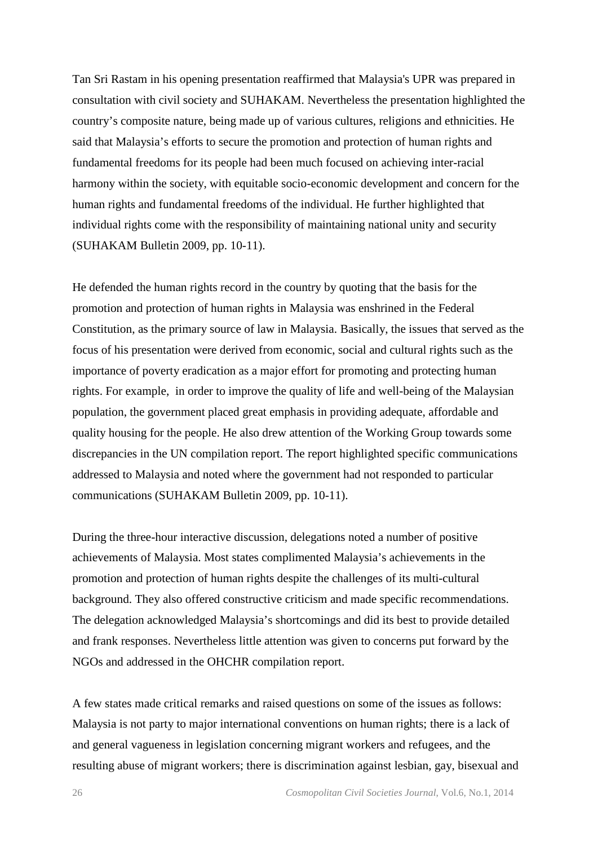Tan Sri Rastam in his opening presentation reaffirmed that Malaysia's UPR was prepared in consultation with civil society and SUHAKAM. Nevertheless the presentation highlighted the country's composite nature, being made up of various cultures, religions and ethnicities. He said that Malaysia's efforts to secure the promotion and protection of human rights and fundamental freedoms for its people had been much focused on achieving inter-racial harmony within the society, with equitable socio-economic development and concern for the human rights and fundamental freedoms of the individual. He further highlighted that individual rights come with the responsibility of maintaining national unity and security (SUHAKAM Bulletin 2009, pp. 10-11).

He defended the human rights record in the country by quoting that the basis for the promotion and protection of human rights in Malaysia was enshrined in the Federal Constitution, as the primary source of law in Malaysia. Basically, the issues that served as the focus of his presentation were derived from economic, social and cultural rights such as the importance of poverty eradication as a major effort for promoting and protecting human rights. For example, in order to improve the quality of life and well-being of the Malaysian population, the government placed great emphasis in providing adequate, affordable and quality housing for the people. He also drew attention of the Working Group towards some discrepancies in the UN compilation report. The report highlighted specific communications addressed to Malaysia and noted where the government had not responded to particular communications (SUHAKAM Bulletin 2009, pp. 10-11).

During the three-hour interactive discussion, delegations noted a number of positive achievements of Malaysia. Most states complimented Malaysia's achievements in the promotion and protection of human rights despite the challenges of its multi-cultural background. They also offered constructive criticism and made specific recommendations. The delegation acknowledged Malaysia's shortcomings and did its best to provide detailed and frank responses. Nevertheless little attention was given to concerns put forward by the NGOs and addressed in the OHCHR compilation report.

A few states made critical remarks and raised questions on some of the issues as follows: Malaysia is not party to major international conventions on human rights; there is a lack of and general vagueness in legislation concerning migrant workers and refugees, and the resulting abuse of migrant workers; there is discrimination against lesbian, gay, bisexual and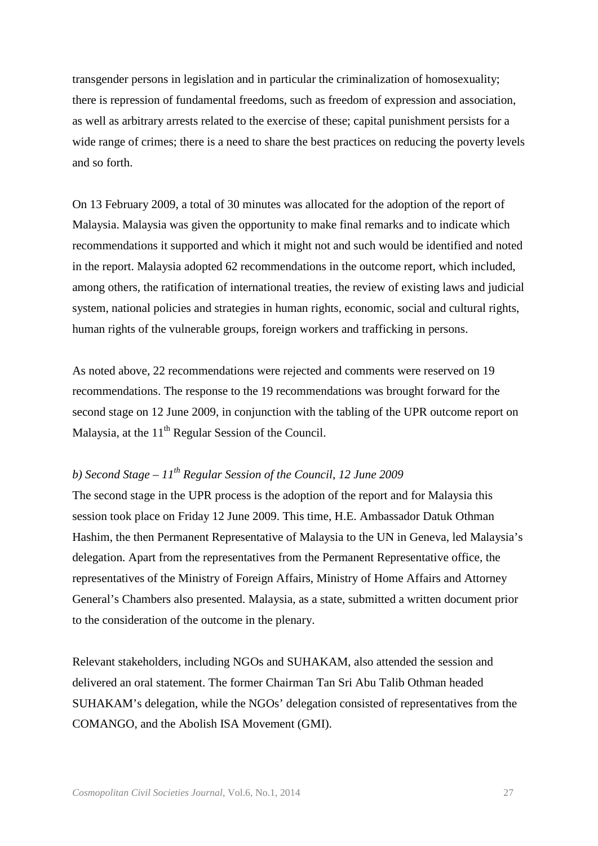transgender persons in legislation and in particular the criminalization of homosexuality; there is repression of fundamental freedoms, such as freedom of expression and association, as well as arbitrary arrests related to the exercise of these; capital punishment persists for a wide range of crimes; there is a need to share the best practices on reducing the poverty levels and so forth.

On 13 February 2009, a total of 30 minutes was allocated for the adoption of the report of Malaysia. Malaysia was given the opportunity to make final remarks and to indicate which recommendations it supported and which it might not and such would be identified and noted in the report. Malaysia adopted 62 recommendations in the outcome report, which included, among others, the ratification of international treaties, the review of existing laws and judicial system, national policies and strategies in human rights, economic, social and cultural rights, human rights of the vulnerable groups, foreign workers and trafficking in persons.

As noted above, 22 recommendations were rejected and comments were reserved on 19 recommendations. The response to the 19 recommendations was brought forward for the second stage on 12 June 2009, in conjunction with the tabling of the UPR outcome report on Malaysia, at the  $11<sup>th</sup>$  Regular Session of the Council.

## *b) Second Stage – 11th Regular Session of the Council, 12 June 2009*

The second stage in the UPR process is the adoption of the report and for Malaysia this session took place on Friday 12 June 2009. This time, H.E. Ambassador Datuk Othman Hashim, the then Permanent Representative of Malaysia to the UN in Geneva, led Malaysia's delegation. Apart from the representatives from the Permanent Representative office, the representatives of the Ministry of Foreign Affairs, Ministry of Home Affairs and Attorney General's Chambers also presented. Malaysia, as a state, submitted a written document prior to the consideration of the outcome in the plenary.

Relevant stakeholders, including NGOs and SUHAKAM, also attended the session and delivered an oral statement. The former Chairman Tan Sri Abu Talib Othman headed SUHAKAM's delegation, while the NGOs' delegation consisted of representatives from the COMANGO, and the Abolish ISA Movement (GMI).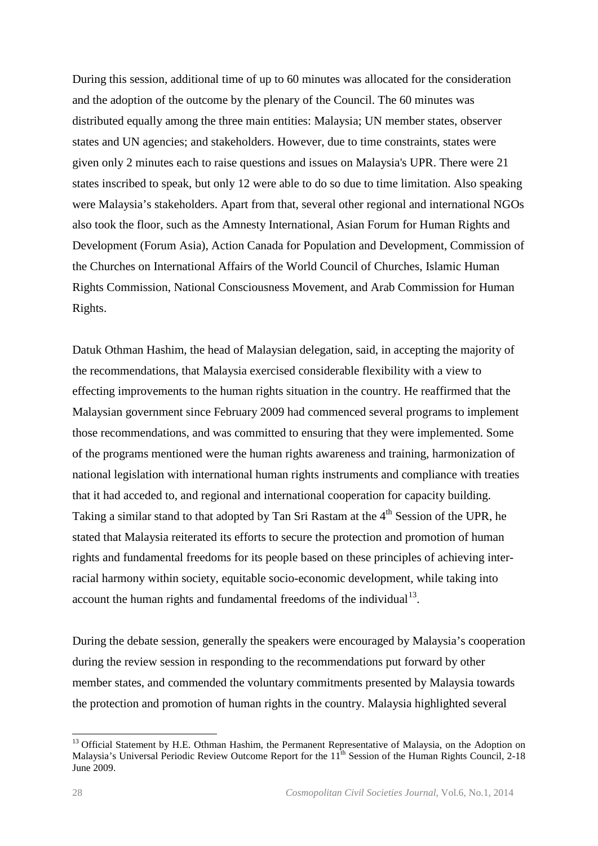During this session, additional time of up to 60 minutes was allocated for the consideration and the adoption of the outcome by the plenary of the Council. The 60 minutes was distributed equally among the three main entities: Malaysia; UN member states, observer states and UN agencies; and stakeholders. However, due to time constraints, states were given only 2 minutes each to raise questions and issues on Malaysia's UPR. There were 21 states inscribed to speak, but only 12 were able to do so due to time limitation. Also speaking were Malaysia's stakeholders. Apart from that, several other regional and international NGOs also took the floor, such as the Amnesty International, Asian Forum for Human Rights and Development (Forum Asia), Action Canada for Population and Development, Commission of the Churches on International Affairs of the World Council of Churches, Islamic Human Rights Commission, National Consciousness Movement, and Arab Commission for Human Rights.

Datuk Othman Hashim, the head of Malaysian delegation, said, in accepting the majority of the recommendations, that Malaysia exercised considerable flexibility with a view to effecting improvements to the human rights situation in the country. He reaffirmed that the Malaysian government since February 2009 had commenced several programs to implement those recommendations, and was committed to ensuring that they were implemented. Some of the programs mentioned were the human rights awareness and training, harmonization of national legislation with international human rights instruments and compliance with treaties that it had acceded to, and regional and international cooperation for capacity building. Taking a similar stand to that adopted by Tan Sri Rastam at the 4<sup>th</sup> Session of the UPR, he stated that Malaysia reiterated its efforts to secure the protection and promotion of human rights and fundamental freedoms for its people based on these principles of achieving interracial harmony within society, equitable socio-economic development, while taking into account the human rights and fundamental freedoms of the individual  $13$ .

During the debate session, generally the speakers were encouraged by Malaysia's cooperation during the review session in responding to the recommendations put forward by other member states, and commended the voluntary commitments presented by Malaysia towards the protection and promotion of human rights in the country. Malaysia highlighted several

<span id="page-9-0"></span><sup>&</sup>lt;sup>13</sup> Official Statement by H.E. Othman Hashim, the Permanent Representative of Malaysia, on the Adoption on Malaysia's Universal Periodic Review Outcome Report for the 11<sup>th</sup> Session of the Human Rights Council, 2-18 June 2009.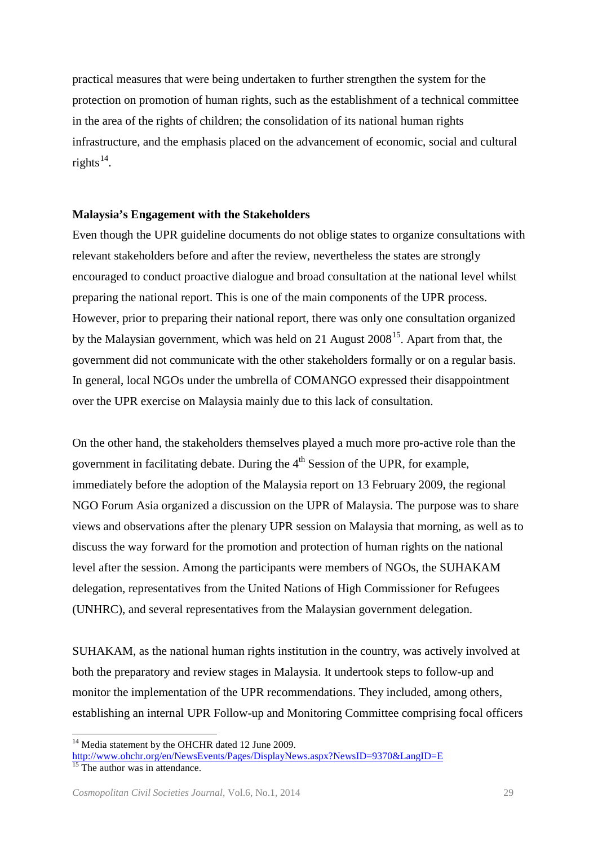practical measures that were being undertaken to further strengthen the system for the protection on promotion of human rights, such as the establishment of a technical committee in the area of the rights of children; the consolidation of its national human rights infrastructure, and the emphasis placed on the advancement of economic, social and cultural rights $^{14}$  $^{14}$  $^{14}$ .

#### **Malaysia's Engagement with the Stakeholders**

Even though the UPR guideline documents do not oblige states to organize consultations with relevant stakeholders before and after the review, nevertheless the states are strongly encouraged to conduct proactive dialogue and broad consultation at the national level whilst preparing the national report. This is one of the main components of the UPR process. However, prior to preparing their national report, there was only one consultation organized by the Malaysian government, which was held on 21 August 2008<sup>15</sup>. Apart from that, the government did not communicate with the other stakeholders formally or on a regular basis. In general, local NGOs under the umbrella of COMANGO expressed their disappointment over the UPR exercise on Malaysia mainly due to this lack of consultation.

On the other hand, the stakeholders themselves played a much more pro-active role than the government in facilitating debate. During the  $4<sup>th</sup>$  Session of the UPR, for example, immediately before the adoption of the Malaysia report on 13 February 2009, the regional NGO Forum Asia organized a discussion on the UPR of Malaysia. The purpose was to share views and observations after the plenary UPR session on Malaysia that morning, as well as to discuss the way forward for the promotion and protection of human rights on the national level after the session. Among the participants were members of NGOs, the SUHAKAM delegation, representatives from the United Nations of High Commissioner for Refugees (UNHRC), and several representatives from the Malaysian government delegation.

SUHAKAM, as the national human rights institution in the country, was actively involved at both the preparatory and review stages in Malaysia. It undertook steps to follow-up and monitor the implementation of the UPR recommendations. They included, among others, establishing an internal UPR Follow-up and Monitoring Committee comprising focal officers

<sup>&</sup>lt;sup>14</sup> Media statement by the OHCHR dated 12 June 2009.

<span id="page-10-1"></span><http://www.ohchr.org/en/NewsEvents/Pages/DisplayNews.aspx?NewsID=9370&LangID=E>

<span id="page-10-0"></span> $\frac{15}{15}$  The author was in attendance.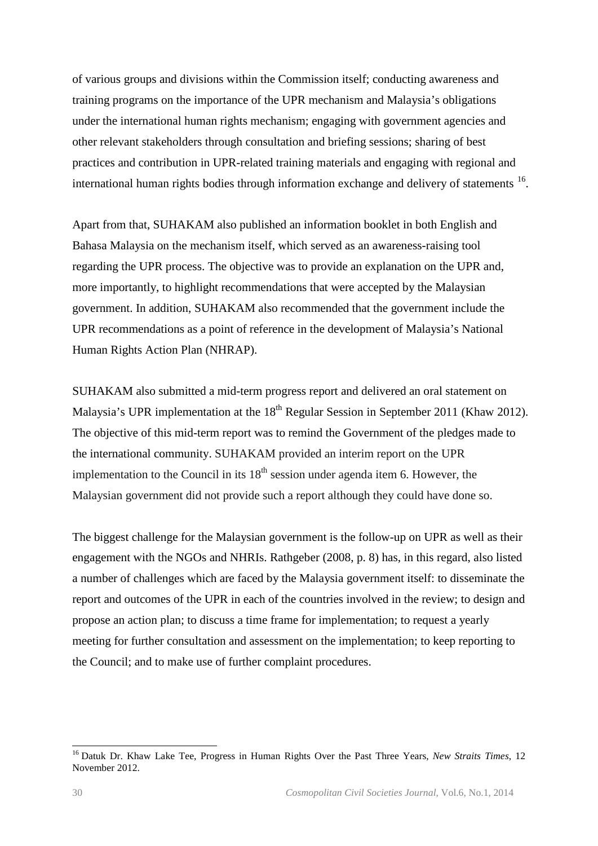of various groups and divisions within the Commission itself; conducting awareness and training programs on the importance of the UPR mechanism and Malaysia's obligations under the international human rights mechanism; engaging with government agencies and other relevant stakeholders through consultation and briefing sessions; sharing of best practices and contribution in UPR-related training materials and engaging with regional and international human rights bodies through information exchange and delivery of statements <sup>[16](#page-10-1)</sup>.

Apart from that, SUHAKAM also published an information booklet in both English and Bahasa Malaysia on the mechanism itself, which served as an awareness-raising tool regarding the UPR process. The objective was to provide an explanation on the UPR and, more importantly, to highlight recommendations that were accepted by the Malaysian government. In addition, SUHAKAM also recommended that the government include the UPR recommendations as a point of reference in the development of Malaysia's National Human Rights Action Plan (NHRAP).

SUHAKAM also submitted a mid-term progress report and delivered an oral statement on Malaysia's UPR implementation at the  $18<sup>th</sup>$  Regular Session in September 2011 (Khaw 2012). The objective of this mid-term report was to remind the Government of the pledges made to the international community. SUHAKAM provided an interim report on the UPR implementation to the Council in its  $18<sup>th</sup>$  session under agenda item 6. However, the Malaysian government did not provide such a report although they could have done so.

The biggest challenge for the Malaysian government is the follow-up on UPR as well as their engagement with the NGOs and NHRIs. Rathgeber (2008, p. 8) has, in this regard, also listed a number of challenges which are faced by the Malaysia government itself: to disseminate the report and outcomes of the UPR in each of the countries involved in the review; to design and propose an action plan; to discuss a time frame for implementation; to request a yearly meeting for further consultation and assessment on the implementation; to keep reporting to the Council; and to make use of further complaint procedures.

<span id="page-11-0"></span> <sup>16</sup> Datuk Dr. Khaw Lake Tee, Progress in Human Rights Over the Past Three Years*, New Straits Times*, 12 November 2012.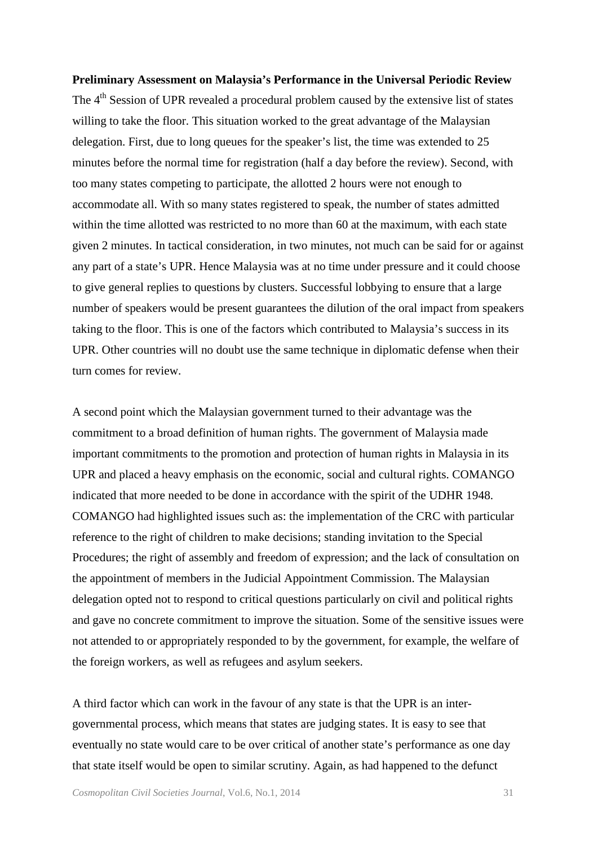#### **Preliminary Assessment on Malaysia's Performance in the Universal Periodic Review**

The 4<sup>th</sup> Session of UPR revealed a procedural problem caused by the extensive list of states willing to take the floor. This situation worked to the great advantage of the Malaysian delegation. First, due to long queues for the speaker's list, the time was extended to 25 minutes before the normal time for registration (half a day before the review). Second, with too many states competing to participate, the allotted 2 hours were not enough to accommodate all. With so many states registered to speak, the number of states admitted within the time allotted was restricted to no more than 60 at the maximum, with each state given 2 minutes. In tactical consideration, in two minutes, not much can be said for or against any part of a state's UPR. Hence Malaysia was at no time under pressure and it could choose to give general replies to questions by clusters. Successful lobbying to ensure that a large number of speakers would be present guarantees the dilution of the oral impact from speakers taking to the floor. This is one of the factors which contributed to Malaysia's success in its UPR. Other countries will no doubt use the same technique in diplomatic defense when their turn comes for review.

A second point which the Malaysian government turned to their advantage was the commitment to a broad definition of human rights. The government of Malaysia made important commitments to the promotion and protection of human rights in Malaysia in its UPR and placed a heavy emphasis on the economic, social and cultural rights. COMANGO indicated that more needed to be done in accordance with the spirit of the UDHR 1948. COMANGO had highlighted issues such as: the implementation of the CRC with particular reference to the right of children to make decisions; standing invitation to the Special Procedures; the right of assembly and freedom of expression; and the lack of consultation on the appointment of members in the Judicial Appointment Commission. The Malaysian delegation opted not to respond to critical questions particularly on civil and political rights and gave no concrete commitment to improve the situation. Some of the sensitive issues were not attended to or appropriately responded to by the government, for example, the welfare of the foreign workers, as well as refugees and asylum seekers.

A third factor which can work in the favour of any state is that the UPR is an intergovernmental process, which means that states are judging states. It is easy to see that eventually no state would care to be over critical of another state's performance as one day that state itself would be open to similar scrutiny. Again, as had happened to the defunct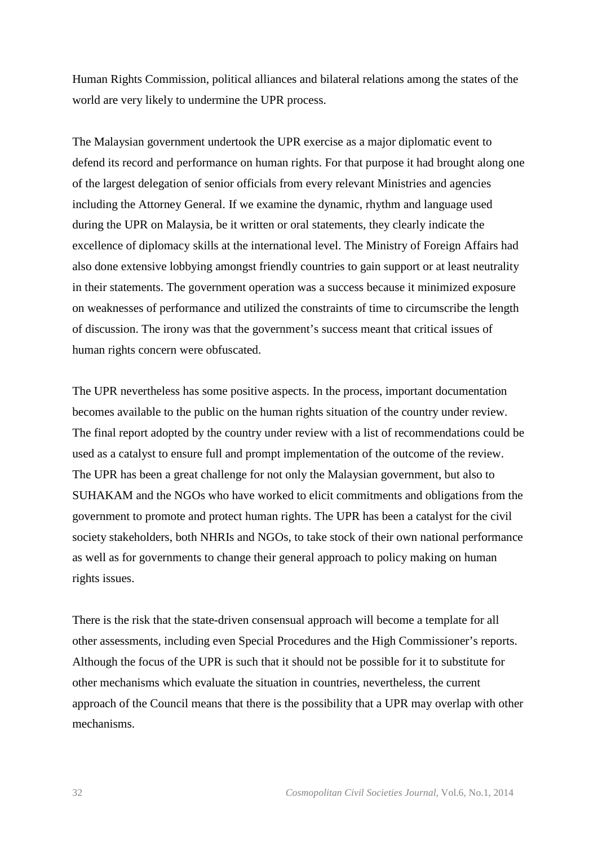Human Rights Commission, political alliances and bilateral relations among the states of the world are very likely to undermine the UPR process.

The Malaysian government undertook the UPR exercise as a major diplomatic event to defend its record and performance on human rights. For that purpose it had brought along one of the largest delegation of senior officials from every relevant Ministries and agencies including the Attorney General. If we examine the dynamic, rhythm and language used during the UPR on Malaysia, be it written or oral statements, they clearly indicate the excellence of diplomacy skills at the international level. The Ministry of Foreign Affairs had also done extensive lobbying amongst friendly countries to gain support or at least neutrality in their statements. The government operation was a success because it minimized exposure on weaknesses of performance and utilized the constraints of time to circumscribe the length of discussion. The irony was that the government's success meant that critical issues of human rights concern were obfuscated.

The UPR nevertheless has some positive aspects. In the process, important documentation becomes available to the public on the human rights situation of the country under review. The final report adopted by the country under review with a list of recommendations could be used as a catalyst to ensure full and prompt implementation of the outcome of the review. The UPR has been a great challenge for not only the Malaysian government, but also to SUHAKAM and the NGOs who have worked to elicit commitments and obligations from the government to promote and protect human rights. The UPR has been a catalyst for the civil society stakeholders, both NHRIs and NGOs, to take stock of their own national performance as well as for governments to change their general approach to policy making on human rights issues.

There is the risk that the state-driven consensual approach will become a template for all other assessments, including even Special Procedures and the High Commissioner's reports. Although the focus of the UPR is such that it should not be possible for it to substitute for other mechanisms which evaluate the situation in countries, nevertheless, the current approach of the Council means that there is the possibility that a UPR may overlap with other mechanisms.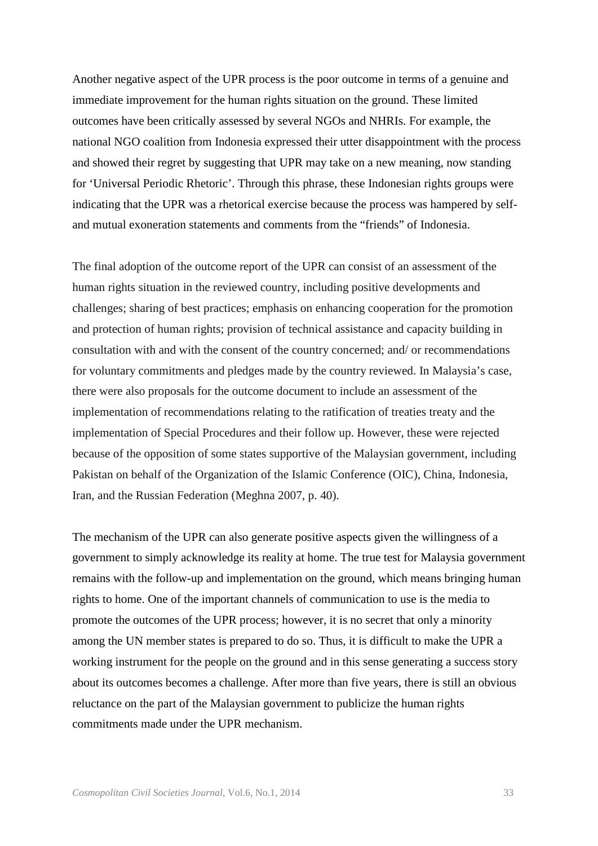Another negative aspect of the UPR process is the poor outcome in terms of a genuine and immediate improvement for the human rights situation on the ground. These limited outcomes have been critically assessed by several NGOs and NHRIs. For example, the national NGO coalition from Indonesia expressed their utter disappointment with the process and showed their regret by suggesting that UPR may take on a new meaning, now standing for 'Universal Periodic Rhetoric'. Through this phrase, these Indonesian rights groups were indicating that the UPR was a rhetorical exercise because the process was hampered by selfand mutual exoneration statements and comments from the "friends" of Indonesia.

The final adoption of the outcome report of the UPR can consist of an assessment of the human rights situation in the reviewed country, including positive developments and challenges; sharing of best practices; emphasis on enhancing cooperation for the promotion and protection of human rights; provision of technical assistance and capacity building in consultation with and with the consent of the country concerned; and/ or recommendations for voluntary commitments and pledges made by the country reviewed. In Malaysia's case, there were also proposals for the outcome document to include an assessment of the implementation of recommendations relating to the ratification of treaties treaty and the implementation of Special Procedures and their follow up. However, these were rejected because of the opposition of some states supportive of the Malaysian government, including Pakistan on behalf of the Organization of the Islamic Conference (OIC), China, Indonesia, Iran, and the Russian Federation (Meghna 2007, p. 40).

The mechanism of the UPR can also generate positive aspects given the willingness of a government to simply acknowledge its reality at home. The true test for Malaysia government remains with the follow-up and implementation on the ground, which means bringing human rights to home. One of the important channels of communication to use is the media to promote the outcomes of the UPR process; however, it is no secret that only a minority among the UN member states is prepared to do so. Thus, it is difficult to make the UPR a working instrument for the people on the ground and in this sense generating a success story about its outcomes becomes a challenge. After more than five years, there is still an obvious reluctance on the part of the Malaysian government to publicize the human rights commitments made under the UPR mechanism.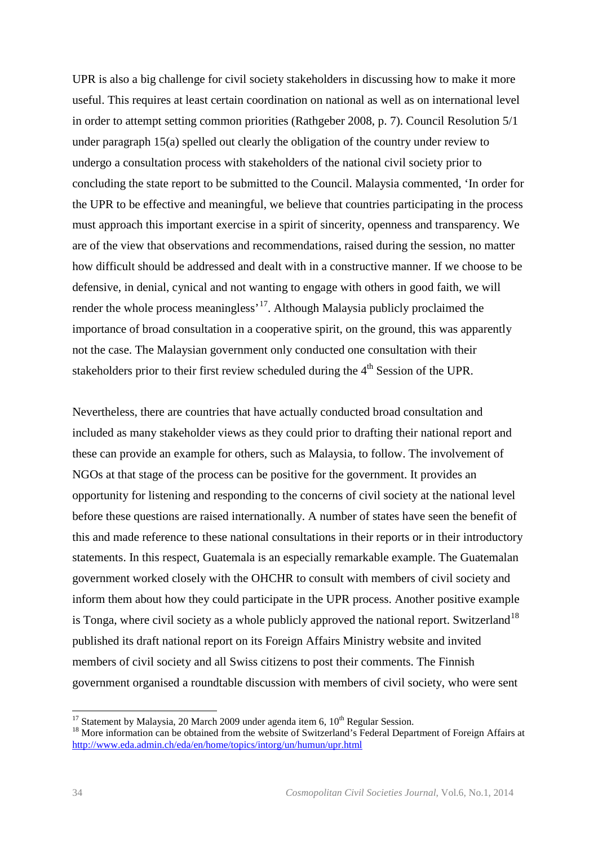UPR is also a big challenge for civil society stakeholders in discussing how to make it more useful. This requires at least certain coordination on national as well as on international level in order to attempt setting common priorities (Rathgeber 2008, p. 7). Council Resolution 5/1 under paragraph 15(a) spelled out clearly the obligation of the country under review to undergo a consultation process with stakeholders of the national civil society prior to concluding the state report to be submitted to the Council. Malaysia commented, 'In order for the UPR to be effective and meaningful, we believe that countries participating in the process must approach this important exercise in a spirit of sincerity, openness and transparency. We are of the view that observations and recommendations, raised during the session, no matter how difficult should be addressed and dealt with in a constructive manner. If we choose to be defensive, in denial, cynical and not wanting to engage with others in good faith, we will render the whole process meaningless<sup>, 17</sup>. Although Malaysia publicly proclaimed the importance of broad consultation in a cooperative spirit, on the ground, this was apparently not the case. The Malaysian government only conducted one consultation with their stakeholders prior to their first review scheduled during the  $4<sup>th</sup>$  Session of the UPR.

Nevertheless, there are countries that have actually conducted broad consultation and included as many stakeholder views as they could prior to drafting their national report and these can provide an example for others, such as Malaysia, to follow. The involvement of NGOs at that stage of the process can be positive for the government. It provides an opportunity for listening and responding to the concerns of civil society at the national level before these questions are raised internationally. A number of states have seen the benefit of this and made reference to these national consultations in their reports or in their introductory statements. In this respect, Guatemala is an especially remarkable example. The Guatemalan government worked closely with the OHCHR to consult with members of civil society and inform them about how they could participate in the UPR process. Another positive example is Tonga, where civil society as a whole publicly approved the national report. Switzerland<sup>[18](#page-15-0)</sup> published its draft national report on its Foreign Affairs Ministry website and invited members of civil society and all Swiss citizens to post their comments. The Finnish government organised a roundtable discussion with members of civil society, who were sent

<span id="page-15-0"></span><sup>&</sup>lt;sup>17</sup> Statement by Malaysia, 20 March 2009 under agenda item 6,  $10^{th}$  Regular Session.<br><sup>18</sup> More information can be obtained from the website of Switzerland's Federal Department of Foreign Affairs at <http://www.eda.admin.ch/eda/en/home/topics/intorg/un/humun/upr.html>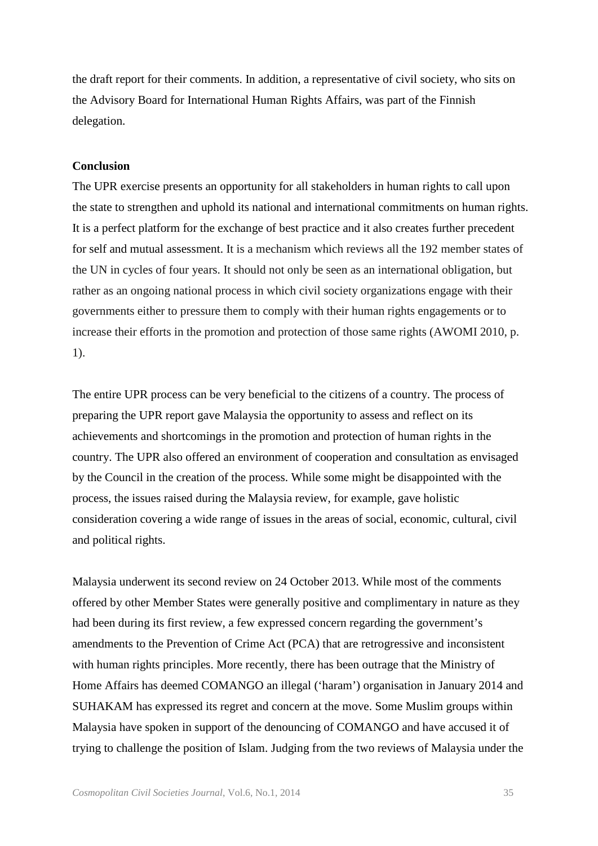the draft report for their comments. In addition, a representative of civil society, who sits on the Advisory Board for International Human Rights Affairs, was part of the Finnish delegation.

### **Conclusion**

The UPR exercise presents an opportunity for all stakeholders in human rights to call upon the state to strengthen and uphold its national and international commitments on human rights. It is a perfect platform for the exchange of best practice and it also creates further precedent for self and mutual assessment. It is a mechanism which reviews all the 192 member states of the UN in cycles of four years. It should not only be seen as an international obligation, but rather as an ongoing national process in which civil society organizations engage with their governments either to pressure them to comply with their human rights engagements or to increase their efforts in the promotion and protection of those same rights (AWOMI 2010, p. 1).

The entire UPR process can be very beneficial to the citizens of a country. The process of preparing the UPR report gave Malaysia the opportunity to assess and reflect on its achievements and shortcomings in the promotion and protection of human rights in the country. The UPR also offered an environment of cooperation and consultation as envisaged by the Council in the creation of the process. While some might be disappointed with the process, the issues raised during the Malaysia review, for example, gave holistic consideration covering a wide range of issues in the areas of social, economic, cultural, civil and political rights.

Malaysia underwent its second review on 24 October 2013. While most of the comments offered by other Member States were generally positive and complimentary in nature as they had been during its first review, a few expressed concern regarding the government's amendments to the Prevention of Crime Act (PCA) that are retrogressive and inconsistent with human rights principles. More recently, there has been outrage that the Ministry of Home Affairs has deemed COMANGO an illegal ('haram') organisation in January 2014 and SUHAKAM has expressed its regret and concern at the move. Some Muslim groups within Malaysia have spoken in support of the denouncing of COMANGO and have accused it of trying to challenge the position of Islam. Judging from the two reviews of Malaysia under the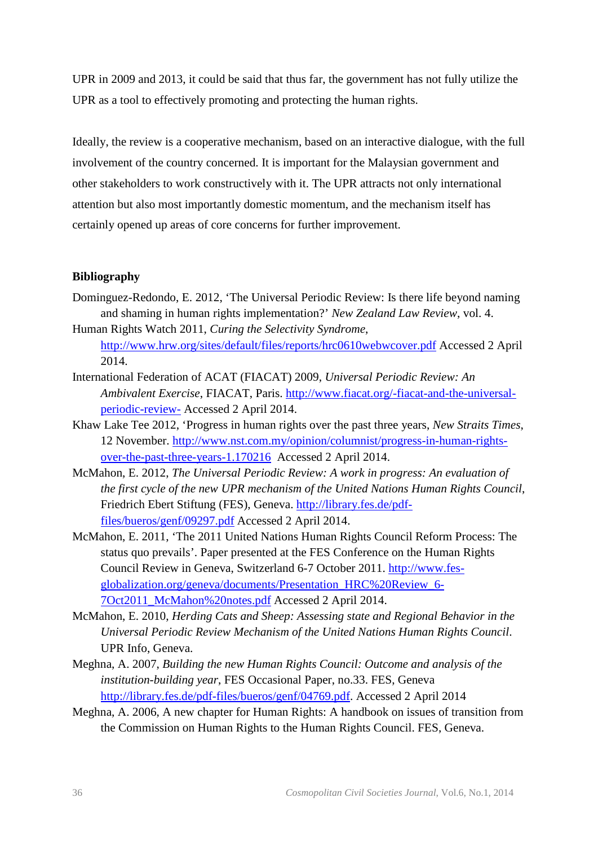UPR in 2009 and 2013, it could be said that thus far, the government has not fully utilize the UPR as a tool to effectively promoting and protecting the human rights.

Ideally, the review is a cooperative mechanism, based on an interactive dialogue, with the full involvement of the country concerned. It is important for the Malaysian government and other stakeholders to work constructively with it. The UPR attracts not only international attention but also most importantly domestic momentum, and the mechanism itself has certainly opened up areas of core concerns for further improvement.

### **Bibliography**

- Dominguez-Redondo, E. 2012, 'The Universal Periodic Review: Is there life beyond naming and shaming in human rights implementation?' *New Zealand Law Review*, vol. 4.
- Human Rights Watch 2011, *Curing the Selectivity Syndrome*, <http://www.hrw.org/sites/default/files/reports/hrc0610webwcover.pdf> Accessed 2 April 2014.
- International Federation of ACAT (FIACAT) 2009, *Universal Periodic Review: An Ambivalent Exercise*, FIACAT, Paris. [http://www.fiacat.org/-fiacat-and-the-universal](http://www.fiacat.org/-fiacat-and-the-universal-periodic-review-)[periodic-review-](http://www.fiacat.org/-fiacat-and-the-universal-periodic-review-) Accessed 2 April 2014.
- Khaw Lake Tee 2012, 'Progress in human rights over the past three years, *New Straits Times*, 12 November. [http://www.nst.com.my/opinion/columnist/progress-in-human-rights](http://www.nst.com.my/opinion/columnist/progress-in-human-rights-over-the-past-three-years-1.170216)[over-the-past-three-years-1.170216](http://www.nst.com.my/opinion/columnist/progress-in-human-rights-over-the-past-three-years-1.170216) Accessed 2 April 2014.
- McMahon, E. 2012, *The Universal Periodic Review: A work in progress: An evaluation of the first cycle of the new UPR mechanism of the United Nations Human Rights Council*, Friedrich Ebert Stiftung (FES), Geneva. [http://library.fes.de/pdf](http://library.fes.de/pdf-files/bueros/genf/09297.pdf)[files/bueros/genf/09297.pdf](http://library.fes.de/pdf-files/bueros/genf/09297.pdf) Accessed 2 April 2014.
- McMahon, E. 2011, 'The 2011 United Nations Human Rights Council Reform Process: The status quo prevails'. Paper presented at the FES Conference on the Human Rights Council Review in Geneva, Switzerland 6-7 October 2011. [http://www.fes](http://www.fes-globalization.org/geneva/documents/Presentation_HRC%20Review_6-7Oct2011_McMahon%20notes.pdf)[globalization.org/geneva/documents/Presentation\\_HRC%20Review\\_6-](http://www.fes-globalization.org/geneva/documents/Presentation_HRC%20Review_6-7Oct2011_McMahon%20notes.pdf) [7Oct2011\\_McMahon%20notes.pdf](http://www.fes-globalization.org/geneva/documents/Presentation_HRC%20Review_6-7Oct2011_McMahon%20notes.pdf) Accessed 2 April 2014.
- McMahon, E. 2010, *Herding Cats and Sheep: Assessing state and Regional Behavior in the Universal Periodic Review Mechanism of the United Nations Human Rights Council*. UPR Info, Geneva.
- Meghna, A. 2007, *Building the new Human Rights Council: Outcome and analysis of the institution-building year*, FES Occasional Paper, no.33. FES, Geneva [http://library.fes.de/pdf-files/bueros/genf/04769.pdf.](http://library.fes.de/pdf-files/bueros/genf/04769.pdf) Accessed 2 April 2014
- Meghna, A. 2006, A new chapter for Human Rights: A handbook on issues of transition from the Commission on Human Rights to the Human Rights Council. FES, Geneva.